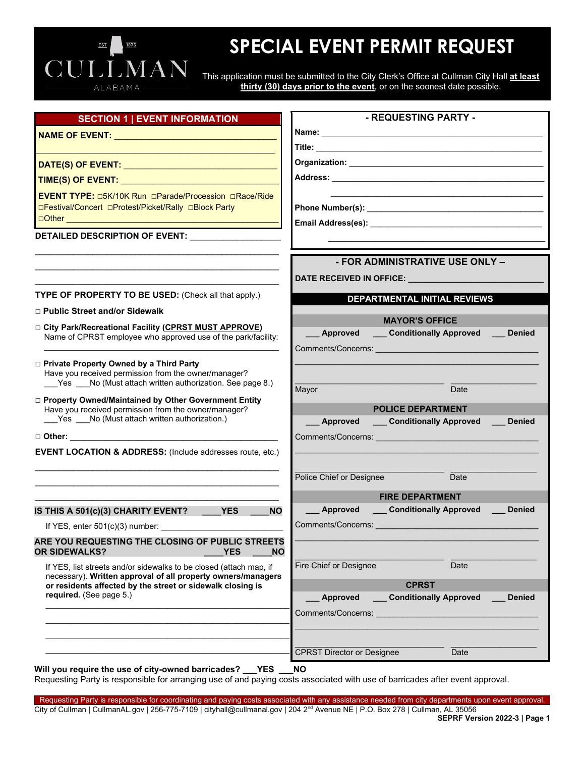# 1873 CULLMAN

## **SPECIAL EVENT PERMIT REQUEST**

This application must be submitted to the City Clerk's Office at Cullman City Hall **at least thirty (30) days prior to the event**, or on the soonest date possible.

| <b>SECTION 1   EVENT INFORMATION</b>                                                                                       | - REQUESTING PARTY -                                                                                                   |
|----------------------------------------------------------------------------------------------------------------------------|------------------------------------------------------------------------------------------------------------------------|
|                                                                                                                            |                                                                                                                        |
|                                                                                                                            |                                                                                                                        |
| DATE(S) OF EVENT: Network and the set of the set of the set of the set of the set of the set of the set of the             |                                                                                                                        |
|                                                                                                                            |                                                                                                                        |
| EVENT TYPE: 05K/10K Run OParade/Procession ORace/Ride                                                                      |                                                                                                                        |
| □Festival/Concert □Protest/Picket/Rally □Block Party                                                                       |                                                                                                                        |
|                                                                                                                            |                                                                                                                        |
| DETAILED DESCRIPTION OF EVENT:                                                                                             |                                                                                                                        |
|                                                                                                                            |                                                                                                                        |
|                                                                                                                            | - FOR ADMINISTRATIVE USE ONLY -                                                                                        |
|                                                                                                                            | DATE RECEIVED IN OFFICE: <b>With the CONSTRUCT OF A SET OF A SET OF A SET OF A SET OF A SET OF A SET OF A SET OF A</b> |
| <b>TYPE OF PROPERTY TO BE USED:</b> (Check all that apply.)                                                                | DEPARTMENTAL INITIAL REVIEWS                                                                                           |
| □ Public Street and/or Sidewalk                                                                                            |                                                                                                                        |
| City Park/Recreational Facility (CPRST MUST APPROVE)                                                                       | <b>MAYOR'S OFFICE</b>                                                                                                  |
| Name of CPRST employee who approved use of the park/facility:                                                              | _Approved ____Conditionally Approved ____Denied                                                                        |
|                                                                                                                            |                                                                                                                        |
| □ Private Property Owned by a Third Party<br>Have you received permission from the owner/manager?                          |                                                                                                                        |
| Yes No (Must attach written authorization. See page 8.)                                                                    | Date<br>Mayor                                                                                                          |
| □ Property Owned/Maintained by Other Government Entity                                                                     |                                                                                                                        |
| Have you received permission from the owner/manager?<br>Yes ___ No (Must attach written authorization.)                    | <b>POLICE DEPARTMENT</b><br>__ Approved ____ Conditionally Approved ____ Denied                                        |
|                                                                                                                            |                                                                                                                        |
| <b>EVENT LOCATION &amp; ADDRESS:</b> (Include addresses route, etc.)                                                       |                                                                                                                        |
|                                                                                                                            |                                                                                                                        |
|                                                                                                                            | Police Chief or Designee<br>Date                                                                                       |
|                                                                                                                            | <b>FIRE DEPARTMENT</b>                                                                                                 |
| IS THIS A 501(c)(3) CHARITY EVENT?<br><b>Example 19 YES</b><br><b>NO</b>                                                   | __ Approved __ Conditionally Approved __ Denied                                                                        |
| If YES, enter $501(c)(3)$ number:                                                                                          |                                                                                                                        |
| ARE YOU REQUESTING THE CLOSING OF PUBLIC STREETS                                                                           |                                                                                                                        |
| <b>OR SIDEWALKS?</b><br><b>YES</b><br><b>NO</b>                                                                            |                                                                                                                        |
| If YES, list streets and/or sidewalks to be closed (attach map, if                                                         | Fire Chief or Designee<br>Date                                                                                         |
| necessary). Written approval of all property owners/managers<br>or residents affected by the street or sidewalk closing is | <b>CPRST</b>                                                                                                           |
| required. (See page 5.)                                                                                                    | <b>Conditionally Approved</b><br><b>Denied</b><br>Approved                                                             |
|                                                                                                                            | <b>Comments/Concerns: Comments/Concerns:</b>                                                                           |
|                                                                                                                            |                                                                                                                        |
|                                                                                                                            |                                                                                                                        |
|                                                                                                                            | <b>CPRST Director or Designee</b><br>Date                                                                              |

**Will you require the use of city-owned barricades? \_\_\_YES \_\_\_NO**

Requesting Party is responsible for arranging use of and paying costs associated with use of barricades after event approval.

Requesting Party is responsible for coordinating and paying costs associated with any assistance needed from city departments upon event approval. City of Cullman | CullmanAL.gov | 256-775-7109 | cityhall@cullmanal.gov | 204 2nd Avenue NE | P.O. Box 278 | Cullman, AL 35056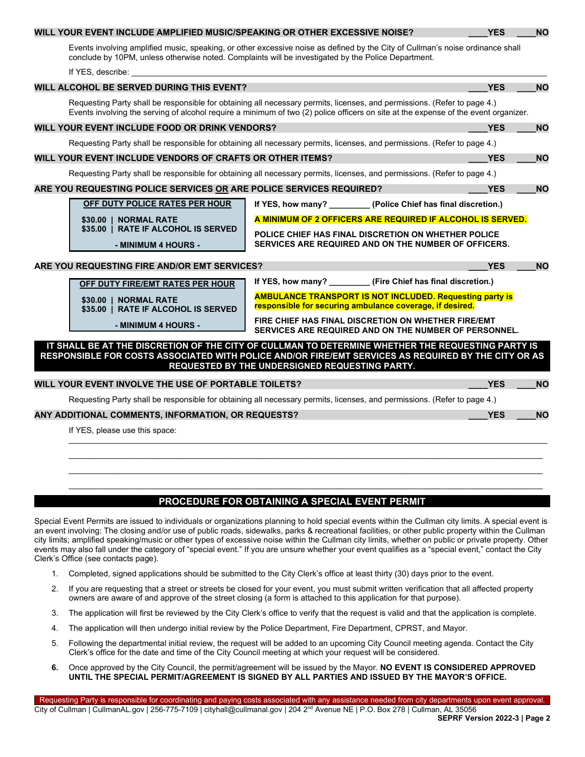#### Events involving amplified music, speaking, or other excessive noise as defined by the City of Cullman's noise ordinance shall conclude by 10PM, unless otherwise noted. Complaints will be investigated by the Police Department. If YES, describe: **WILL ALCOHOL BE SERVED DURING THIS EVENT? \_\_\_\_YES \_\_\_\_NO** Requesting Party shall be responsible for obtaining all necessary permits, licenses, and permissions. (Refer to page 4.) Events involving the serving of alcohol require a minimum of two (2) police officers on site at the expense of the event organizer. **WILL YOUR EVENT INCLUDE FOOD OR DRINK VENDORS? \_\_\_\_YES \_\_\_\_NO** Requesting Party shall be responsible for obtaining all necessary permits, licenses, and permissions. (Refer to page 4.) **WILL YOUR EVENT INCLUDE VENDORS OF CRAFTS OR OTHER ITEMS?** *WILL YOUR EVENT INCLUDE VES* Requesting Party shall be responsible for obtaining all necessary permits, licenses, and permissions. (Refer to page 4.) **ARE YOU REQUESTING POLICE SERVICES OR ARE POLICE SERVICES REQUIRED? \_\_\_\_YES \_\_\_\_NO If YES, how many? \_\_\_\_\_\_\_\_\_ (Police Chief has final discretion.) A MINIMUM OF 2 OFFICERS ARE REQUIRED IF ALCOHOL IS SERVED. POLICE CHIEF HAS FINAL DISCRETION ON WHETHER POLICE SERVICES ARE REQUIRED AND ON THE NUMBER OF OFFICERS. ARE YOU REQUESTING FIRE AND/OR EMT SERVICES? \_\_\_\_YES \_\_\_\_NO If YES, how many? \_\_\_\_\_\_\_\_\_ (Fire Chief has final discretion.) AMBULANCE TRANSPORT IS NOT INCLUDED. Requesting party is responsible for securing ambulance coverage, if desired. FIRE CHIEF HAS FINAL DISCRETION ON WHETHER FIRE/EMT SERVICES ARE REQUIRED AND ON THE NUMBER OF PERSONNEL. IT SHALL BE AT THE DISCRETION OF THE CITY OF CULLMAN TO DETERMINE WHETHER THE REQUESTING PARTY IS RESPONSIBLE FOR COSTS ASSOCIATED WITH POLICE AND/OR FIRE/EMT SERVICES AS REQUIRED BY THE CITY OR AS REQUESTED BY THE UNDERSIGNED REQUESTING PARTY. WILL YOUR EVENT INVOLVE THE USE OF PORTABLE TOILETS? \_\_\_\_YES \_\_\_\_NO** Requesting Party shall be responsible for obtaining all necessary permits, licenses, and permissions. (Refer to page 4.) **ANY ADDITIONAL COMMENTS, INFORMATION, OR REQUESTS? \_\_\_\_YES \_\_\_\_NO** If YES, please use this space:  $\mathcal{L}_\mathcal{L} = \{ \mathcal{L}_\mathcal{L} = \{ \mathcal{L}_\mathcal{L} = \{ \mathcal{L}_\mathcal{L} = \{ \mathcal{L}_\mathcal{L} = \{ \mathcal{L}_\mathcal{L} = \{ \mathcal{L}_\mathcal{L} = \{ \mathcal{L}_\mathcal{L} = \{ \mathcal{L}_\mathcal{L} = \{ \mathcal{L}_\mathcal{L} = \{ \mathcal{L}_\mathcal{L} = \{ \mathcal{L}_\mathcal{L} = \{ \mathcal{L}_\mathcal{L} = \{ \mathcal{L}_\mathcal{L} = \{ \mathcal{L}_\mathcal{$ \_\_\_\_\_\_\_\_\_\_\_\_\_\_\_\_\_\_\_\_\_\_\_\_\_\_\_\_\_\_\_\_\_\_\_\_\_\_\_\_\_\_\_\_\_\_\_\_\_\_\_\_\_\_\_\_\_\_\_\_\_\_\_\_\_\_\_\_\_\_\_\_\_\_\_\_\_\_\_\_\_\_\_\_\_\_\_\_\_\_\_\_\_\_\_\_\_\_\_\_\_\_\_\_\_ **OFF DUTY POLICE RATES PER HOUR \$30.00 | NORMAL RATE \$35.00 | RATE IF ALCOHOL IS SERVED - MINIMUM 4 HOURS - OFF DUTY FIRE/EMT RATES PER HOUR \$30.00 | NORMAL RATE \$35.00 | RATE IF ALCOHOL IS SERVED - MINIMUM 4 HOURS -**

**WILL YOUR EVENT INCLUDE AMPLIFIED MUSIC/SPEAKING OR OTHER EXCESSIVE NOISE? \_\_\_\_YES \_\_\_\_NO**

## **PROCEDURE FOR OBTAINING A SPECIAL EVENT PERMIT**

 $\ldots$  . The contribution of the contribution of the contribution of the contribution of the contribution of the contribution of the contribution of the contribution of the contribution of the contribution of the contribut  $\ldots$  . The contribution of the contribution of the contribution of the contribution of the contribution of the contribution of the contribution of the contribution of the contribution of the contribution of the contribut

Special Event Permits are issued to individuals or organizations planning to hold special events within the Cullman city limits. A special event is an event involving: The closing and/or use of public roads, sidewalks, parks & recreational facilities, or other public property within the Cullman city limits; amplified speaking/music or other types of excessive noise within the Cullman city limits, whether on public or private property. Other events may also fall under the category of "special event." If you are unsure whether your event qualifies as a "special event," contact the City Clerk's Office (see contacts page).

- 1. Completed, signed applications should be submitted to the City Clerk's office at least thirty (30) days prior to the event.
- 2. If you are requesting that a street or streets be closed for your event, you must submit written verification that all affected property owners are aware of and approve of the street closing (a form is attached to this application for that purpose).
- 3. The application will first be reviewed by the City Clerk's office to verify that the request is valid and that the application is complete.
- 4. The application will then undergo initial review by the Police Department, Fire Department, CPRST, and Mayor.
- 5. Following the departmental initial review, the request will be added to an upcoming City Council meeting agenda. Contact the City Clerk's office for the date and time of the City Council meeting at which your request will be considered.
- **6.** Once approved by the City Council, the permit/agreement will be issued by the Mayor. **NO EVENT IS CONSIDERED APPROVED UNTIL THE SPECIAL PERMIT/AGREEMENT IS SIGNED BY ALL PARTIES AND ISSUED BY THE MAYOR'S OFFICE.**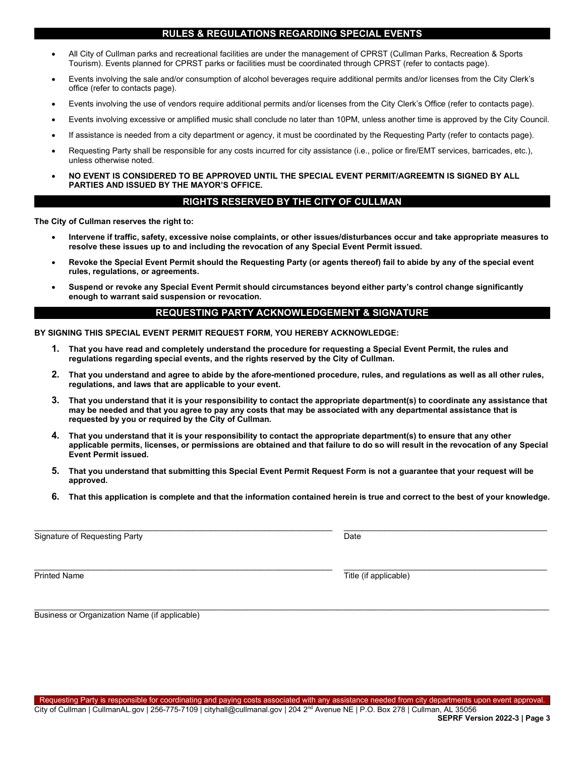#### **RULES & REGULATIONS REGARDING SPECIAL EVENTS**

- All City of Cullman parks and recreational facilities are under the management of CPRST (Cullman Parks, Recreation & Sports Tourism). Events planned for CPRST parks or facilities must be coordinated through CPRST (refer to contacts page).
- Events involving the sale and/or consumption of alcohol beverages require additional permits and/or licenses from the City Clerk's office (refer to contacts page).
- Events involving the use of vendors require additional permits and/or licenses from the City Clerk's Office (refer to contacts page).
- Events involving excessive or amplified music shall conclude no later than 10PM, unless another time is approved by the City Council.
- If assistance is needed from a city department or agency, it must be coordinated by the Requesting Party (refer to contacts page).
- Requesting Party shall be responsible for any costs incurred for city assistance (i.e., police or fire/EMT services, barricades, etc.), unless otherwise noted.
- **NO EVENT IS CONSIDERED TO BE APPROVED UNTIL THE SPECIAL EVENT PERMIT/AGREEMTN IS SIGNED BY ALL PARTIES AND ISSUED BY THE MAYOR'S OFFICE.**

#### **RIGHTS RESERVED BY THE CITY OF CULLMAN**

**The City of Cullman reserves the right to:**

- **Intervene if traffic, safety, excessive noise complaints, or other issues/disturbances occur and take appropriate measures to resolve these issues up to and including the revocation of any Special Event Permit issued.**
- **Revoke the Special Event Permit should the Requesting Party (or agents thereof) fail to abide by any of the special event rules, regulations, or agreements.**
- **Suspend or revoke any Special Event Permit should circumstances beyond either party's control change significantly enough to warrant said suspension or revocation.**

#### **REQUESTING PARTY ACKNOWLEDGEMENT & SIGNATURE**

**BY SIGNING THIS SPECIAL EVENT PERMIT REQUEST FORM, YOU HEREBY ACKNOWLEDGE:**

- **1. That you have read and completely understand the procedure for requesting a Special Event Permit, the rules and regulations regarding special events, and the rights reserved by the City of Cullman.**
- **2. That you understand and agree to abide by the afore-mentioned procedure, rules, and regulations as well as all other rules, regulations, and laws that are applicable to your event.**
- **3. That you understand that it is your responsibility to contact the appropriate department(s) to coordinate any assistance that may be needed and that you agree to pay any costs that may be associated with any departmental assistance that is requested by you or required by the City of Cullman.**
- **4. That you understand that it is your responsibility to contact the appropriate department(s) to ensure that any other applicable permits, licenses, or permissions are obtained and that failure to do so will result in the revocation of any Special Event Permit issued.**
- **5. That you understand that submitting this Special Event Permit Request Form is not a guarantee that your request will be approved.**

 $\bot$  , and the set of the set of the set of the set of the set of the set of the set of the set of the set of the set of the set of the set of the set of the set of the set of the set of the set of the set of the set of t

 $\_$  , and the set of the set of the set of the set of the set of the set of the set of the set of the set of the set of the set of the set of the set of the set of the set of the set of the set of the set of the set of th

**6. That this application is complete and that the information contained herein is true and correct to the best of your knowledge.**

Signature of Requesting Party **Date** 

\_\_\_\_\_\_\_\_\_\_\_\_\_\_\_\_\_\_\_\_\_\_\_\_\_\_\_\_\_\_\_\_\_\_\_\_\_\_\_\_\_\_\_\_\_\_\_\_\_\_\_\_\_\_\_\_\_\_\_\_\_\_\_\_\_\_ \_\_\_\_\_\_\_\_\_\_\_\_\_\_\_\_\_\_\_\_\_\_\_\_\_\_\_\_\_\_\_\_\_\_\_\_\_\_\_\_\_\_\_\_\_ Printed Name Title (if applicable)

Business or Organization Name (if applicable)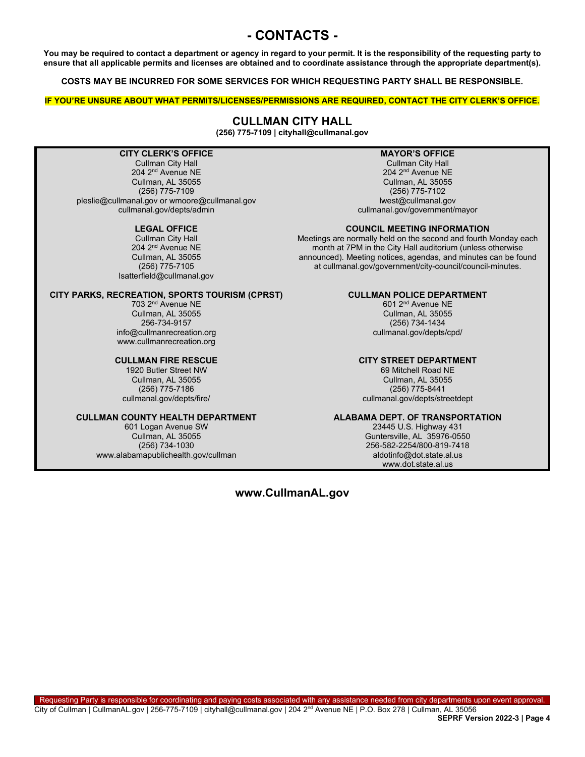## **- CONTACTS -**

**You may be required to contact a department or agency in regard to your permit. It is the responsibility of the requesting party to ensure that all applicable permits and licenses are obtained and to coordinate assistance through the appropriate department(s).** 

**COSTS MAY BE INCURRED FOR SOME SERVICES FOR WHICH REQUESTING PARTY SHALL BE RESPONSIBLE.**

**IF YOU'RE UNSURE ABOUT WHAT PERMITS/LICENSES/PERMISSIONS ARE REQUIRED, CONTACT THE CITY CLERK'S OFFICE.**

#### **CULLMAN CITY HALL**

**(256) 775-7109 | cityhall@cullmanal.gov**

#### **CITY CLERK'S OFFICE**

Cullman City Hall 204 2nd Avenue NE Cullman, AL 35055 (256) 775-7109 pleslie@cullmanal.gov or wmoore@cullmanal.gov cullmanal.gov/depts/admin

#### **LEGAL OFFICE**

Cullman City Hall 204 2nd Avenue NE Cullman, AL 35055 (256) 775-7105 lsatterfield@cullmanal.gov

#### **CITY PARKS, RECREATION, SPORTS TOURISM (CPRST)**

703 2nd Avenue NE Cullman, AL 35055 256-734-9157 info@cullmanrecreation.org www.cullmanrecreation.org

#### **CULLMAN FIRE RESCUE**

1920 Butler Street NW Cullman, AL 35055 (256) 775-7186 cullmanal.gov/depts/fire/

#### **CULLMAN COUNTY HEALTH DEPARTMENT**

601 Logan Avenue SW Cullman, AL 35055 (256) 734-1030 www.alabamapublichealth.gov/cullman

#### **MAYOR'S OFFICE**

Cullman City Hall 204 2nd Avenue NE Cullman, AL 35055 (256) 775-7102 lwest@cullmanal.gov cullmanal.gov/government/mayor

#### **COUNCIL MEETING INFORMATION**

Meetings are normally held on the second and fourth Monday each month at 7PM in the City Hall auditorium (unless otherwise announced). Meeting notices, agendas, and minutes can be found at cullmanal.gov/government/city-council/council-minutes.

#### **CULLMAN POLICE DEPARTMENT**

601 2nd Avenue NE Cullman, AL 35055 (256) 734-1434 cullmanal.gov/depts/cpd/

#### **CITY STREET DEPARTMENT**

69 Mitchell Road NE Cullman, AL 35055 (256) 775-8441 cullmanal.gov/depts/streetdept

#### **ALABAMA DEPT. OF TRANSPORTATION**

23445 U.S. Highway 431 Guntersville, AL 35976-0550 256-582-2254/800-819-7418 aldotinfo@dot.state.al.us www.dot.state.al.us

#### **www.CullmanAL.gov**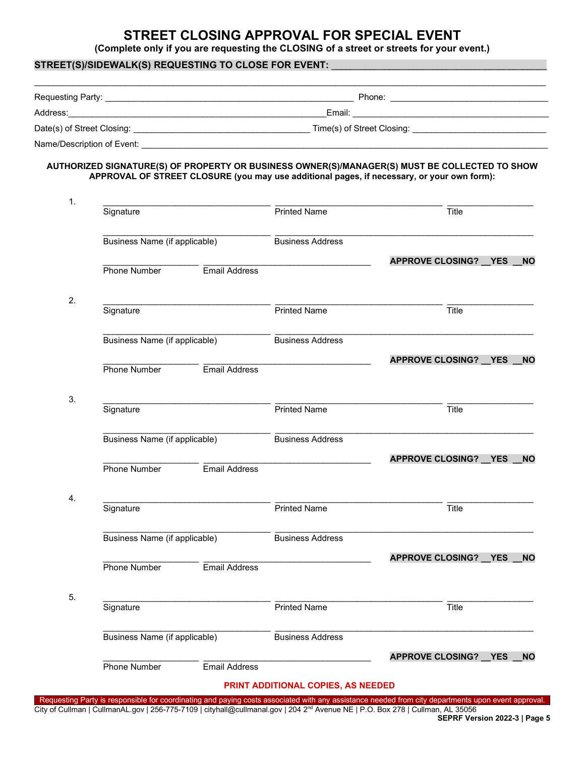## **STREET CLOSING APPROVAL FOR SPECIAL EVENT**

**(Complete only if you are requesting the CLOSING of a street or streets for your event.)**

## **STREET(S)/SIDEWALK(S) REQUESTING TO CLOSE FOR EVENT:** \_\_\_\_\_\_\_\_\_\_\_\_\_\_\_\_\_\_\_\_\_\_\_\_\_\_\_\_\_\_\_\_\_\_\_\_\_\_\_\_\_\_\_\_\_ \_\_\_\_\_\_\_\_\_\_\_\_\_\_\_\_\_\_\_\_\_\_\_\_\_\_\_\_\_\_\_\_\_\_\_\_\_\_\_\_\_\_\_\_\_\_\_\_\_\_\_\_\_\_\_\_\_\_\_\_\_\_\_\_\_\_\_\_\_\_\_\_\_\_\_\_\_\_\_\_\_\_\_\_\_\_\_\_\_\_\_\_\_\_\_\_\_\_\_\_\_\_\_\_\_\_\_ Requesting Party: \_\_\_\_\_\_\_\_\_\_\_\_\_\_\_\_\_\_\_\_\_\_\_\_\_\_\_\_\_\_\_\_\_\_\_\_\_\_\_\_\_\_\_\_\_\_\_\_\_\_\_\_ Phone: \_\_\_\_\_\_\_\_\_\_\_\_\_\_\_\_\_\_\_\_\_\_\_\_\_\_\_\_\_\_\_\_\_ Address: Email: 2002. 2003. 2004. 2004. 2006. 2006. 2007. 2008. 2009. 2008. 2009. 2009. 2009. 2009. 2009. 2009 Date(s) of Street Closing: example of Street Closing: example of Street Closing:

Name/Description of Event: \_\_\_\_\_\_\_\_\_\_\_\_\_\_\_\_\_\_\_\_\_\_\_\_\_\_\_\_\_\_\_\_\_\_\_\_\_\_\_\_\_\_\_\_\_\_\_\_\_\_\_\_\_\_\_\_\_\_\_\_\_\_\_\_\_\_\_\_\_\_\_\_\_\_\_\_\_\_\_\_\_\_\_\_\_

#### **AUTHORIZED SIGNATURE(S) OF PROPERTY OR BUSINESS OWNER(S)/MANAGER(S) MUST BE COLLECTED TO SHOW APPROVAL OF STREET CLOSURE (you may use additional pages, if necessary, or your own form):**

| Signature                     |               | <b>Printed Name</b>     | Title                          |            |           |
|-------------------------------|---------------|-------------------------|--------------------------------|------------|-----------|
| Business Name (if applicable) |               | <b>Business Address</b> |                                |            |           |
| Phone Number                  | Email Address |                         | <b>APPROVE CLOSING? __ YES</b> |            | <b>NO</b> |
| Signature                     |               | <b>Printed Name</b>     | Title                          |            |           |
| Business Name (if applicable) |               | <b>Business Address</b> |                                |            |           |
| Phone Number                  | Email Address |                         | <b>APPROVE CLOSING? __ YES</b> |            | <b>NO</b> |
| Signature                     |               | Printed Name            | Title                          |            |           |
| Business Name (if applicable) |               | <b>Business Address</b> |                                |            |           |
| Phone Number                  | Email Address |                         | <b>APPROVE CLOSING? YES</b>    |            | <b>NO</b> |
| Signature                     |               | Printed Name            | Title                          |            |           |
| Business Name (if applicable) |               | <b>Business Address</b> |                                |            |           |
| Phone Number                  | Email Address |                         | <b>APPROVE CLOSING?</b>        | <b>YES</b> | <b>NO</b> |
| Signature                     |               | Printed Name            | Title                          |            |           |
| Business Name (if applicable) |               | <b>Business Address</b> |                                |            |           |
| Phone Number                  | Email Address |                         | <b>APPROVE CLOSING? YES</b>    |            | <b>NO</b> |